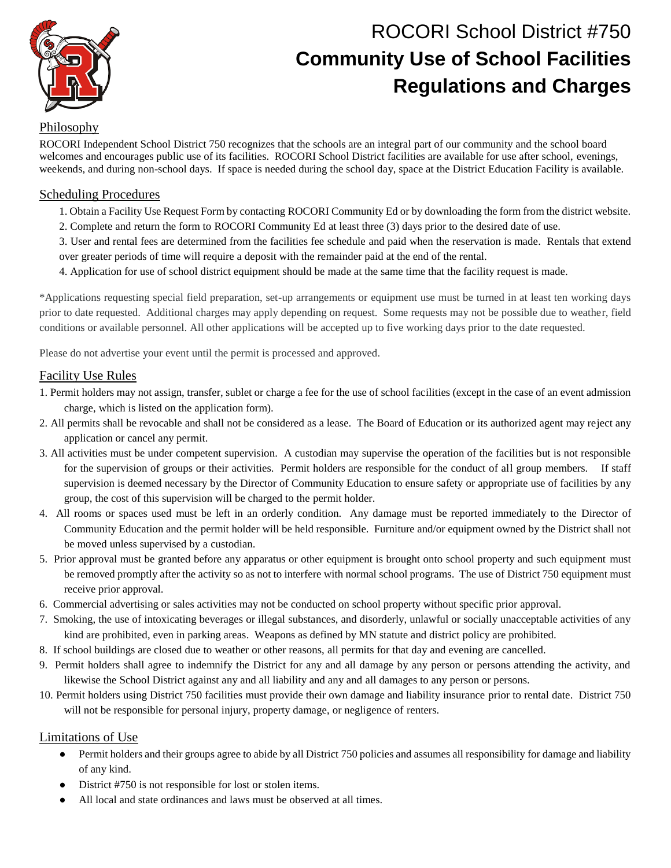

# ROCORI School District #750 **Community Use of School Facilities Regulations and Charges**

# Philosophy

ROCORI Independent School District 750 recognizes that the schools are an integral part of our community and the school board welcomes and encourages public use of its facilities. ROCORI School District facilities are available for use after school, evenings, weekends, and during non-school days. If space is needed during the school day, space at the District Education Facility is available.

## Scheduling Procedures

- 1. Obtain a Facility Use Request Form by contacting ROCORI Community Ed or by downloading the form from the district website.
- 2. Complete and return the form to ROCORI Community Ed at least three (3) days prior to the desired date of use.
- 3. User and rental fees are determined from the facilities fee schedule and paid when the reservation is made. Rentals that extend over greater periods of time will require a deposit with the remainder paid at the end of the rental.
- 4. Application for use of school district equipment should be made at the same time that the facility request is made.

\*Applications requesting special field preparation, set-up arrangements or equipment use must be turned in at least ten working days prior to date requested. Additional charges may apply depending on request. Some requests may not be possible due to weather, field conditions or available personnel. All other applications will be accepted up to five working days prior to the date requested.

Please do not advertise your event until the permit is processed and approved.

# Facility Use Rules

- 1. Permit holders may not assign, transfer, sublet or charge a fee for the use of school facilities (except in the case of an event admission charge, which is listed on the application form).
- 2. All permits shall be revocable and shall not be considered as a lease. The Board of Education or its authorized agent may reject any application or cancel any permit.
- 3. All activities must be under competent supervision. A custodian may supervise the operation of the facilities but is not responsible for the supervision of groups or their activities. Permit holders are responsible for the conduct of all group members. If staff supervision is deemed necessary by the Director of Community Education to ensure safety or appropriate use of facilities by any group, the cost of this supervision will be charged to the permit holder.
- 4. All rooms or spaces used must be left in an orderly condition. Any damage must be reported immediately to the Director of Community Education and the permit holder will be held responsible. Furniture and/or equipment owned by the District shall not be moved unless supervised by a custodian.
- 5. Prior approval must be granted before any apparatus or other equipment is brought onto school property and such equipment must be removed promptly after the activity so as not to interfere with normal school programs. The use of District 750 equipment must receive prior approval.
- 6. Commercial advertising or sales activities may not be conducted on school property without specific prior approval.
- 7. Smoking, the use of intoxicating beverages or illegal substances, and disorderly, unlawful or socially unacceptable activities of any kind are prohibited, even in parking areas. Weapons as defined by MN statute and district policy are prohibited.
- 8. If school buildings are closed due to weather or other reasons, all permits for that day and evening are cancelled.
- 9. Permit holders shall agree to indemnify the District for any and all damage by any person or persons attending the activity, and likewise the School District against any and all liability and any and all damages to any person or persons.
- 10. Permit holders using District 750 facilities must provide their own damage and liability insurance prior to rental date. District 750 will not be responsible for personal injury, property damage, or negligence of renters.

### Limitations of Use

- Permit holders and their groups agree to abide by all District 750 policies and assumes all responsibility for damage and liability of any kind.
- District #750 is not responsible for lost or stolen items.
- All local and state ordinances and laws must be observed at all times.